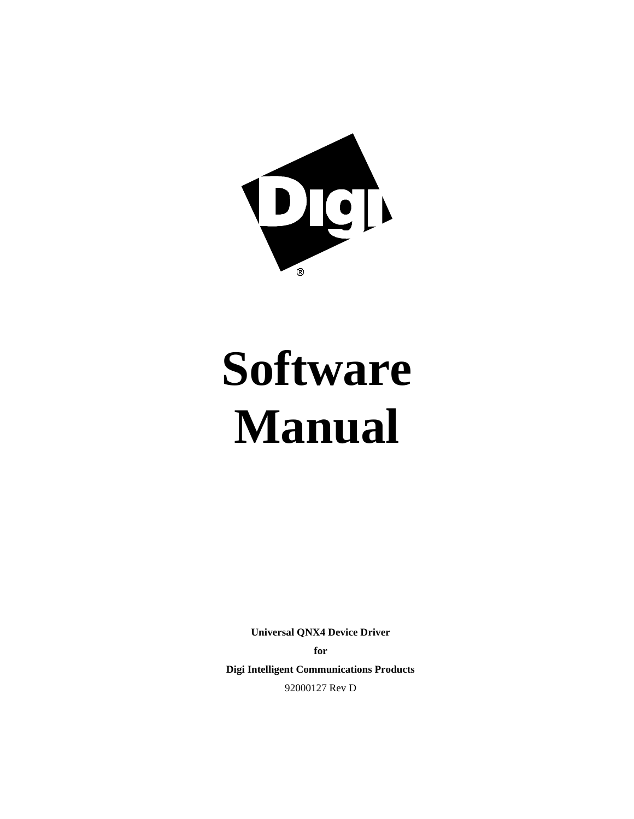

# **Software Manual**

**Universal QNX4 Device Driver for**

**Digi Intelligent Communications Products** 92000127 Rev D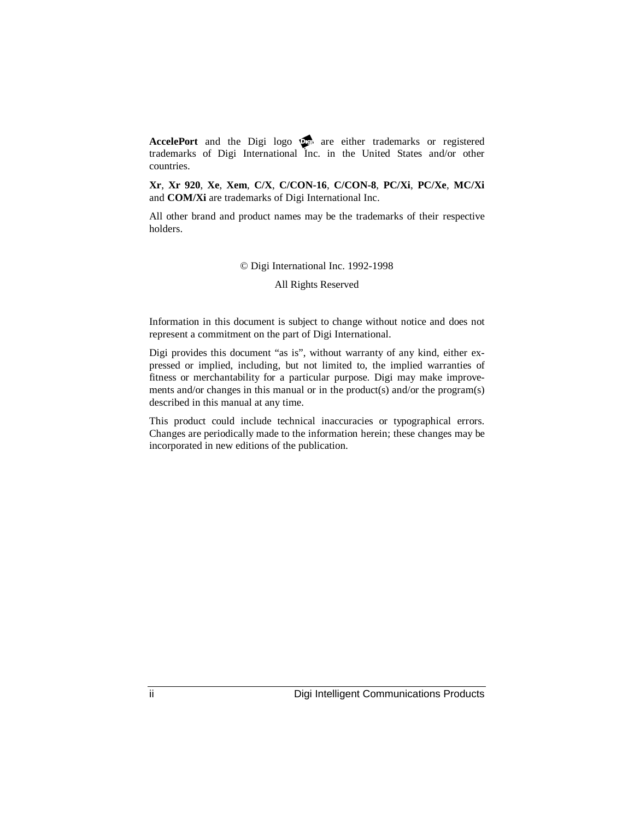AccelePort and the Digi logo **po** are either trademarks or registered trademarks of Digi International Inc. in the United States and/or other countries.

**Xr**, **Xr 920**, **Xe**, **Xem**, **C/X**, **C/CON-16**, **C/CON-8**, **PC/Xi**, **PC/Xe**, **MC/Xi** and **COM/Xi** are trademarks of Digi International Inc.

All other brand and product names may be the trademarks of their respective holders.

© Digi International Inc. 1992-1998

All Rights Reserved

Information in this document is subject to change without notice and does not represent a commitment on the part of Digi International.

Digi provides this document "as is", without warranty of any kind, either expressed or implied, including, but not limited to, the implied warranties of fitness or merchantability for a particular purpose. Digi may make improvements and/or changes in this manual or in the product(s) and/or the program(s) described in this manual at any time.

This product could include technical inaccuracies or typographical errors. Changes are periodically made to the information herein; these changes may be incorporated in new editions of the publication.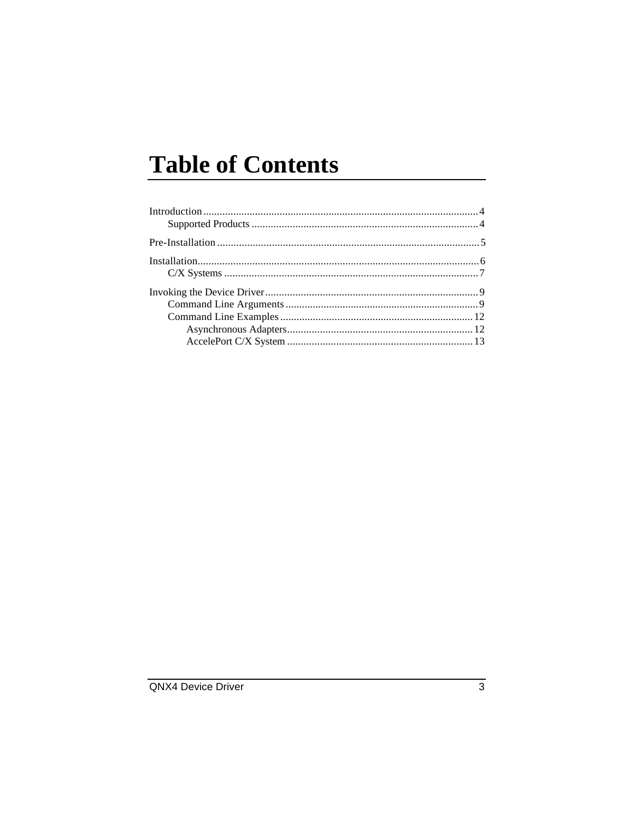# **Table of Contents**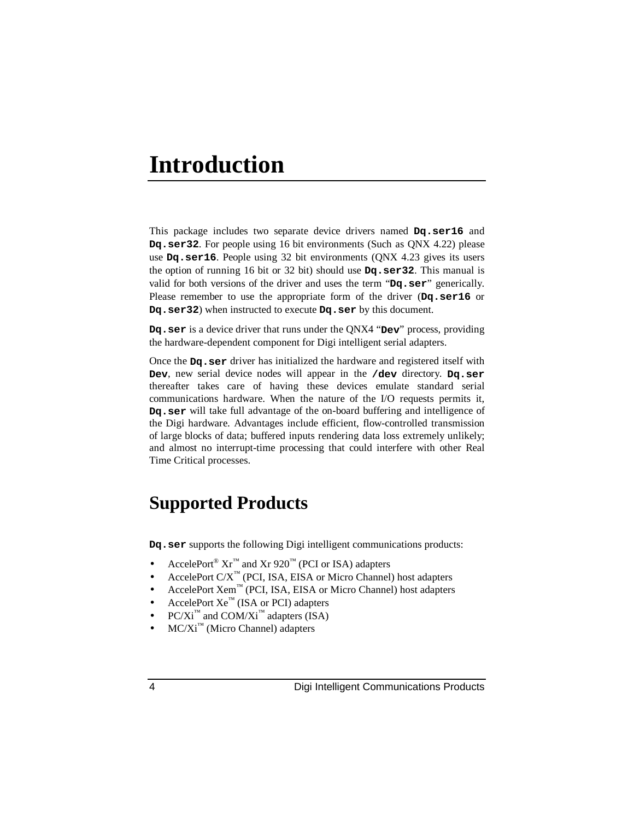# **Introduction**

This package includes two separate device drivers named **Dq.ser16** and **Dq.ser32**. For people using 16 bit environments (Such as QNX 4.22) please use **Dq.ser16**. People using 32 bit environments (QNX 4.23 gives its users the option of running 16 bit or 32 bit) should use **Dq.ser32**. This manual is valid for both versions of the driver and uses the term "**Dq.ser**" generically. Please remember to use the appropriate form of the driver (**Dq.ser16** or **Dq.ser32**) when instructed to execute **Dq.ser** by this document.

**Dq.ser** is a device driver that runs under the QNX4 "**Dev**" process, providing the hardware-dependent component for Digi intelligent serial adapters.

Once the **Dq.ser** driver has initialized the hardware and registered itself with **Dev**, new serial device nodes will appear in the **/dev** directory. **Dq.ser** thereafter takes care of having these devices emulate standard serial communications hardware. When the nature of the I/O requests permits it, **Dq.ser** will take full advantage of the on-board buffering and intelligence of the Digi hardware. Advantages include efficient, flow-controlled transmission of large blocks of data; buffered inputs rendering data loss extremely unlikely; and almost no interrupt-time processing that could interfere with other Real Time Critical processes.

# **Supported Products**

**Dq.ser** supports the following Digi intelligent communications products:

- AccelePort<sup>®</sup>  $\text{Xr}^{\text{m}}$  and  $\text{Xr}$  920<sup> $\text{m}$ </sup> (PCI or ISA) adapters
- AccelePort C/X™ (PCI, ISA, EISA or Micro Channel) host adapters
- AccelePort Xem™ (PCI, ISA, EISA or Micro Channel) host adapters
- AccelePort  $Xe^{m}$  (ISA or PCI) adapters
- $PC/Xi^{m}$  and  $COM/Xi^{m}$  adapters (ISA)
- $MC/Xi^{\mathbb{N}}$  (Micro Channel) adapters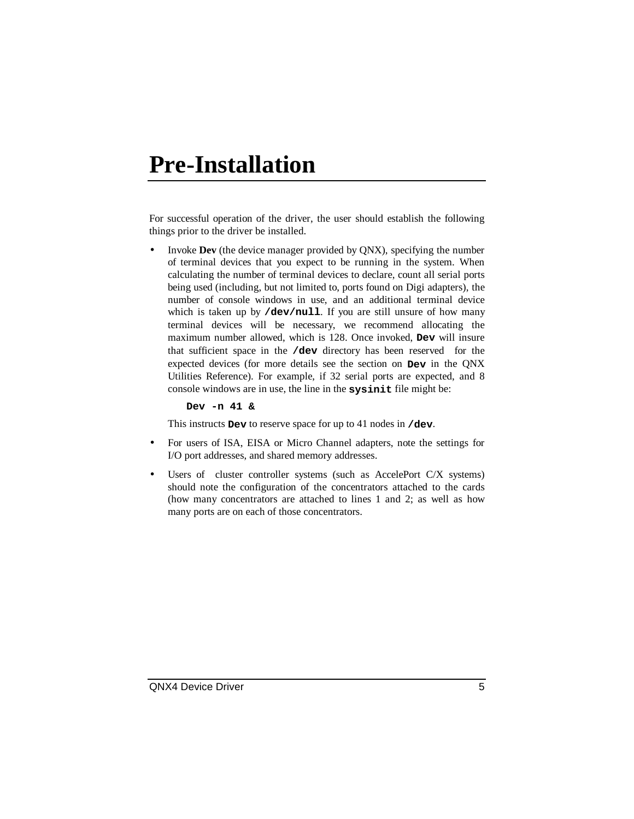# **Pre-Installation**

For successful operation of the driver, the user should establish the following things prior to the driver be installed.

• Invoke **Dev** (the device manager provided by QNX), specifying the number of terminal devices that you expect to be running in the system. When calculating the number of terminal devices to declare, count all serial ports being used (including, but not limited to, ports found on Digi adapters), the number of console windows in use, and an additional terminal device which is taken up by /dev/null. If you are still unsure of how many terminal devices will be necessary, we recommend allocating the maximum number allowed, which is 128. Once invoked, **Dev** will insure that sufficient space in the **/dev** directory has been reserved for the expected devices (for more details see the section on **Dev** in the QNX Utilities Reference). For example, if 32 serial ports are expected, and 8 console windows are in use, the line in the **sysinit** file might be:

**Dev -n 41 &**

This instructs **Dev** to reserve space for up to 41 nodes in **/dev**.

- For users of ISA, EISA or Micro Channel adapters, note the settings for I/O port addresses, and shared memory addresses.
- Users of cluster controller systems (such as AccelePort C/X systems) should note the configuration of the concentrators attached to the cards (how many concentrators are attached to lines 1 and 2; as well as how many ports are on each of those concentrators.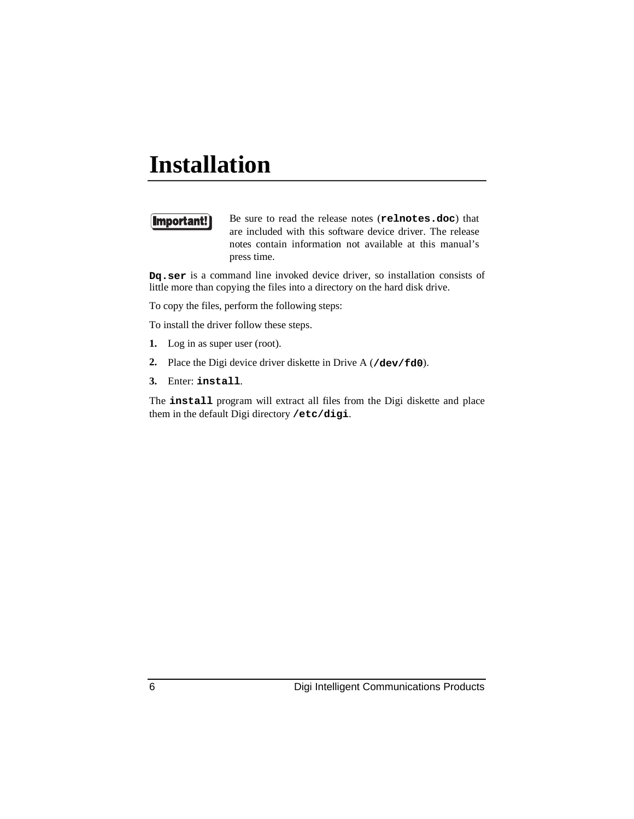# **Installation**

## Important!

Be sure to read the release notes (**relnotes.doc**) that are included with this software device driver. The release notes contain information not available at this manual's press time.

**Dq.ser** is a command line invoked device driver, so installation consists of little more than copying the files into a directory on the hard disk drive.

To copy the files, perform the following steps:

To install the driver follow these steps.

- **1.** Log in as super user (root).
- **2.** Place the Digi device driver diskette in Drive A (**/dev/fd0**).
- **3.** Enter: **install**.

The **install** program will extract all files from the Digi diskette and place them in the default Digi directory **/etc/digi**.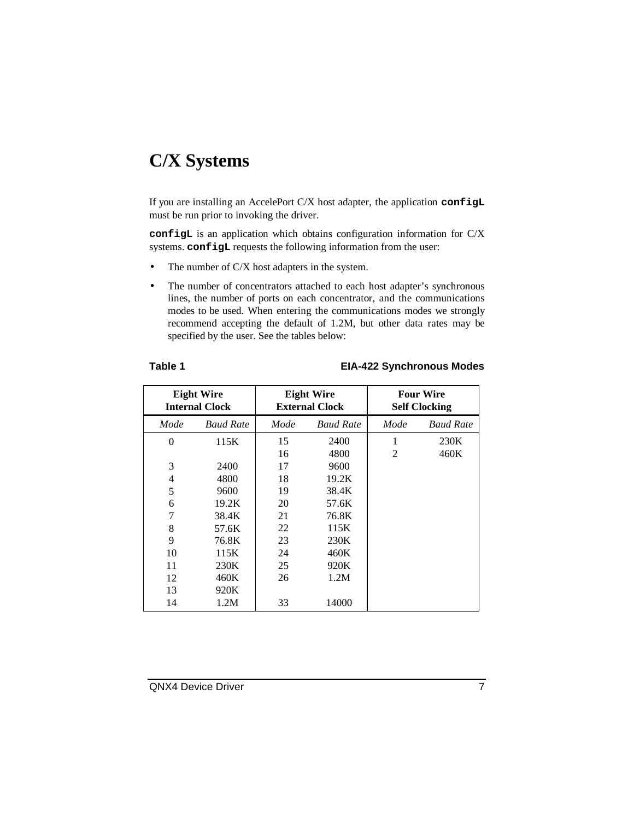# **C/X Systems**

If you are installing an AccelePort C/X host adapter, the application **configL** must be run prior to invoking the driver.

**configL** is an application which obtains configuration information for C/X systems. **configL** requests the following information from the user:

- The number of  $C/X$  host adapters in the system.
- The number of concentrators attached to each host adapter's synchronous lines, the number of ports on each concentrator, and the communications modes to be used. When entering the communications modes we strongly recommend accepting the default of 1.2M, but other data rates may be specified by the user. See the tables below:

### **Table 1 EIA-422 Synchronous Modes**

| <b>Eight Wire</b><br><b>Internal Clock</b> |                  | <b>Eight Wire</b><br><b>External Clock</b> |                  | <b>Four Wire</b><br><b>Self Clocking</b> |                  |
|--------------------------------------------|------------------|--------------------------------------------|------------------|------------------------------------------|------------------|
| Mode                                       | <b>Baud Rate</b> | Mode                                       | <b>Baud Rate</b> | Mode                                     | <b>Baud Rate</b> |
| $\theta$                                   | 115K             | 15                                         | 2400             | 1                                        | 230K             |
|                                            |                  | 16                                         | 4800             | $\overline{2}$                           | 460K             |
| 3                                          | 2400             | 17                                         | 9600             |                                          |                  |
| 4                                          | 4800             | 18                                         | 19.2K            |                                          |                  |
| 5                                          | 9600             | 19                                         | 38.4K            |                                          |                  |
| 6                                          | 19.2K            | 20                                         | 57.6K            |                                          |                  |
| 7                                          | 38.4K            | 21                                         | 76.8K            |                                          |                  |
| 8                                          | 57.6K            | 22                                         | 115K             |                                          |                  |
| 9                                          | 76.8K            | 23                                         | 230K             |                                          |                  |
| 10                                         | 115K             | 24                                         | 460K             |                                          |                  |
| 11                                         | 230K             | 25                                         | 920K             |                                          |                  |
| 12                                         | 460K             | 26                                         | 1.2M             |                                          |                  |
| 13                                         | 920K             |                                            |                  |                                          |                  |
| 14                                         | 1.2M             | 33                                         | 14000            |                                          |                  |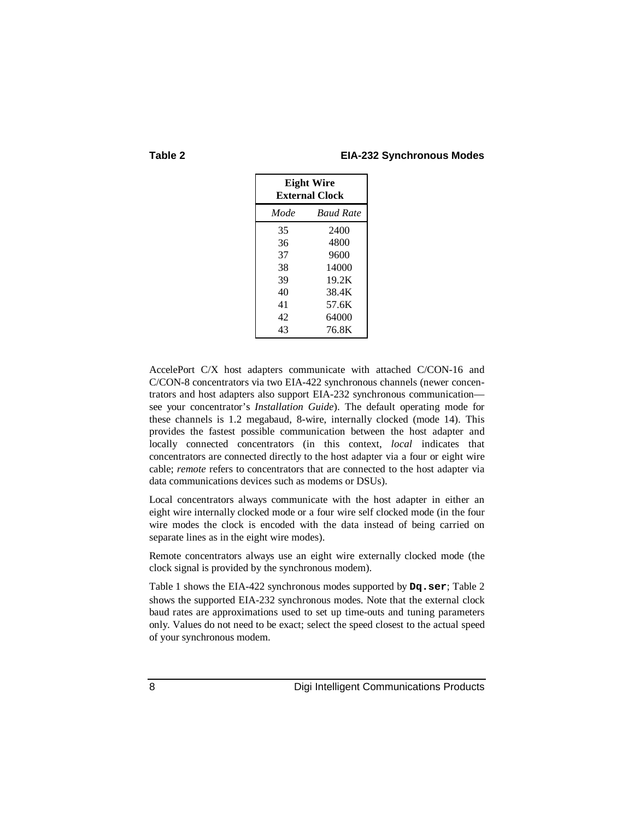#### **Table 2 EIA-232 Synchronous Modes**

| <b>Eight Wire</b><br><b>External Clock</b> |                  |  |  |
|--------------------------------------------|------------------|--|--|
| Mode                                       | <b>Baud Rate</b> |  |  |
| 35                                         | 2400             |  |  |
| 36                                         | 4800             |  |  |
| 37                                         | 9600             |  |  |
| 38                                         | 14000            |  |  |
| 39                                         | 19.2K            |  |  |
| 40                                         | 38.4K            |  |  |
| 41                                         | 57.6K            |  |  |
| 42.                                        | 64000            |  |  |
| 43                                         | 76.8K            |  |  |

AccelePort C/X host adapters communicate with attached C/CON-16 and C/CON-8 concentrators via two EIA-422 synchronous channels (newer concentrators and host adapters also support EIA-232 synchronous communication see your concentrator's *Installation Guide*). The default operating mode for these channels is 1.2 megabaud, 8-wire, internally clocked (mode 14). This provides the fastest possible communication between the host adapter and locally connected concentrators (in this context, *local* indicates that concentrators are connected directly to the host adapter via a four or eight wire cable; *remote* refers to concentrators that are connected to the host adapter via data communications devices such as modems or DSUs).

Local concentrators always communicate with the host adapter in either an eight wire internally clocked mode or a four wire self clocked mode (in the four wire modes the clock is encoded with the data instead of being carried on separate lines as in the eight wire modes).

Remote concentrators always use an eight wire externally clocked mode (the clock signal is provided by the synchronous modem).

Table 1 shows the EIA-422 synchronous modes supported by **Dq.ser**; Table 2 shows the supported EIA-232 synchronous modes. Note that the external clock baud rates are approximations used to set up time-outs and tuning parameters only. Values do not need to be exact; select the speed closest to the actual speed of your synchronous modem.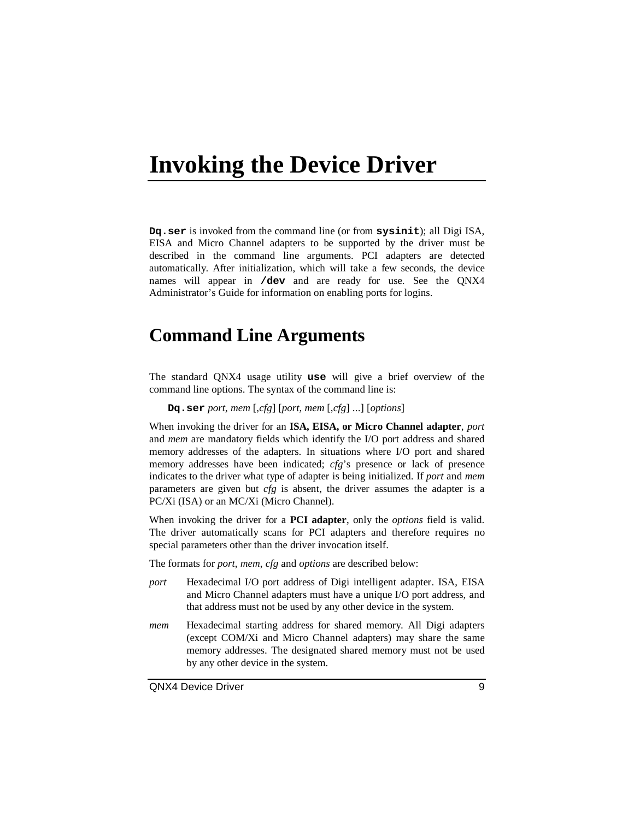# **Invoking the Device Driver**

**Dq.ser** is invoked from the command line (or from **sysinit**); all Digi ISA, EISA and Micro Channel adapters to be supported by the driver must be described in the command line arguments. PCI adapters are detected automatically. After initialization, which will take a few seconds, the device names will appear in **/dev** and are ready for use. See the QNX4 Administrator's Guide for information on enabling ports for logins.

# **Command Line Arguments**

The standard QNX4 usage utility **use** will give a brief overview of the command line options. The syntax of the command line is:

**Dq.ser** *port*, *mem* [,*cfg*] [*port*, *mem* [,*cfg*] ...] [*options*]

When invoking the driver for an **ISA, EISA, or Micro Channel adapter**, *port* and *mem* are mandatory fields which identify the I/O port address and shared memory addresses of the adapters. In situations where I/O port and shared memory addresses have been indicated; *cfg*'s presence or lack of presence indicates to the driver what type of adapter is being initialized. If *port* and *mem* parameters are given but *cfg* is absent, the driver assumes the adapter is a PC/Xi (ISA) or an MC/Xi (Micro Channel).

When invoking the driver for a **PCI adapter**, only the *options* field is valid. The driver automatically scans for PCI adapters and therefore requires no special parameters other than the driver invocation itself.

The formats for *port*, *mem*, *cfg* and *options* are described below:

- *port* Hexadecimal I/O port address of Digi intelligent adapter. ISA, EISA and Micro Channel adapters must have a unique I/O port address, and that address must not be used by any other device in the system.
- *mem* Hexadecimal starting address for shared memory. All Digi adapters (except COM/Xi and Micro Channel adapters) may share the same memory addresses. The designated shared memory must not be used by any other device in the system.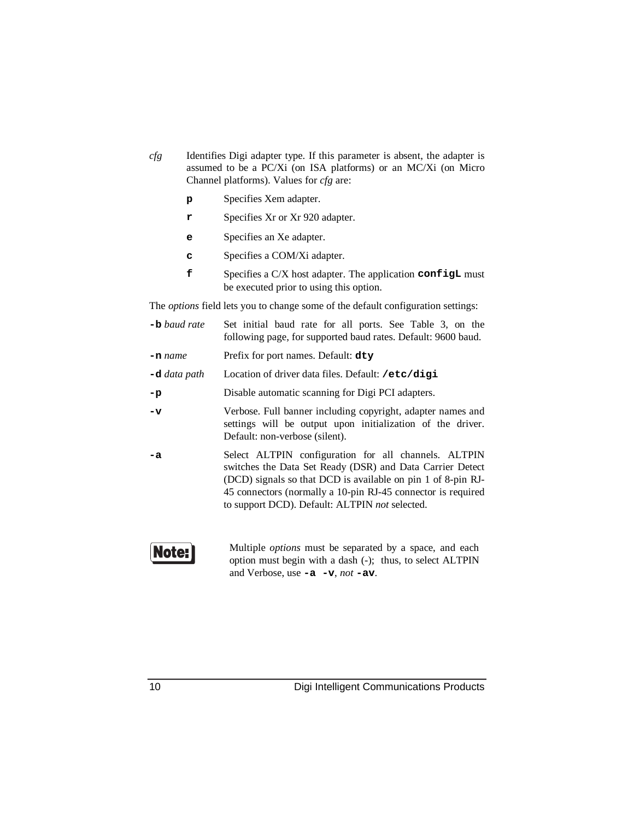- *cfg* Identifies Digi adapter type. If this parameter is absent, the adapter is assumed to be a PC/Xi (on ISA platforms) or an MC/Xi (on Micro Channel platforms). Values for *cfg* are:
	- **p** Specifies Xem adapter.
	- **r** Specifies Xr or Xr 920 adapter.
	- **e** Specifies an Xe adapter.
	- **c** Specifies a COM/Xi adapter.
	- **f** Specifies a C/X host adapter. The application **configL** must be executed prior to using this option.

The *options* field lets you to change some of the default configuration settings:

| Set initial baud rate for all ports. See Table 3, on the<br>following page, for supported baud rates. Default: 9600 baud.                                                                                                                                                                           |  |  |  |  |
|-----------------------------------------------------------------------------------------------------------------------------------------------------------------------------------------------------------------------------------------------------------------------------------------------------|--|--|--|--|
| Prefix for port names. Default: dty                                                                                                                                                                                                                                                                 |  |  |  |  |
| Location of driver data files. Default: /etc/digi                                                                                                                                                                                                                                                   |  |  |  |  |
| Disable automatic scanning for Digi PCI adapters.                                                                                                                                                                                                                                                   |  |  |  |  |
| Verbose. Full banner including copyright, adapter names and<br>settings will be output upon initialization of the driver.<br>Default: non-verbose (silent).                                                                                                                                         |  |  |  |  |
| Select ALTPIN configuration for all channels. ALTPIN<br>switches the Data Set Ready (DSR) and Data Carrier Detect<br>(DCD) signals so that DCD is available on pin 1 of 8-pin RJ-<br>45 connectors (normally a 10-pin RJ-45 connector is required<br>to support DCD). Default: ALTPIN not selected. |  |  |  |  |
|                                                                                                                                                                                                                                                                                                     |  |  |  |  |

**Note:** 

Multiple *options* must be separated by a space, and each option must begin with a dash (-); thus, to select ALTPIN and Verbose, use **-a -v**, *not* **-av**.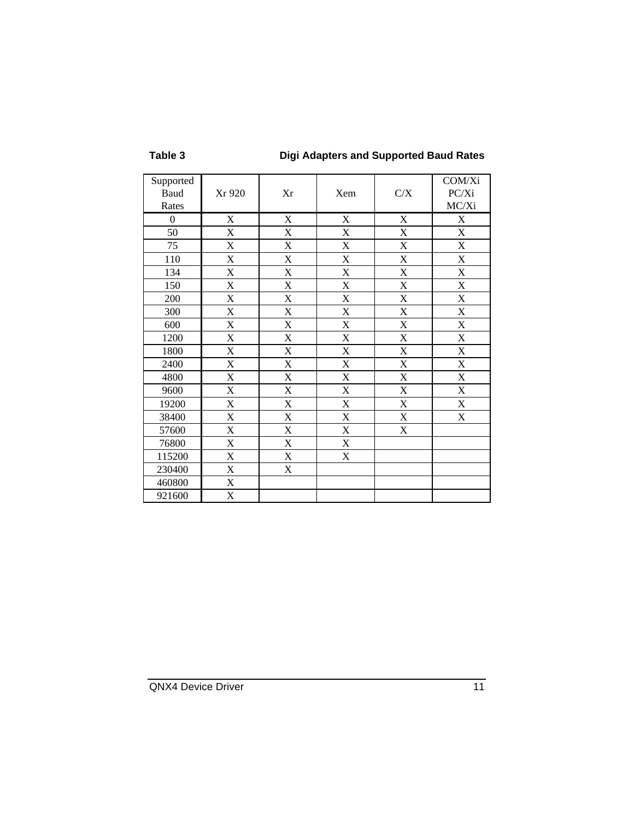# **Table 3 Digi Adapters and Supported Baud Rates**

| Supported |                           |                           |                           |                           | COM/Xi                    |
|-----------|---------------------------|---------------------------|---------------------------|---------------------------|---------------------------|
| Baud      | Xr 920                    | Xr                        | Xem                       | $\rm C/X$                 | PC/Xi                     |
| Rates     |                           |                           |                           |                           | MC/Xi                     |
| $\theta$  | X                         | X                         | X                         | X                         | X                         |
| 50        | $\mathbf X$               | $\boldsymbol{\mathrm{X}}$ | $\mathbf X$               | $\mathbf X$               | X                         |
| 75        | $\boldsymbol{\mathrm{X}}$ | X                         | $\mathbf X$               | $\boldsymbol{\mathrm{X}}$ | X                         |
| 110       | $\boldsymbol{\mathrm{X}}$ | $\boldsymbol{\mathrm{X}}$ | $\mathbf X$               | X                         | $\mathbf X$               |
| 134       | $\boldsymbol{\mathrm{X}}$ | X                         | $\mathbf X$               | $\mathbf X$               | X                         |
| 150       | $\mathbf X$               | $\mathbf X$               | $\mathbf X$               | X                         | $\boldsymbol{\mathrm{X}}$ |
| 200       | $\mathbf X$               | $\mathbf X$               | $\mathbf X$               | $\mathbf X$               | X                         |
| 300       | $\mathbf X$               | $\mathbf X$               | $\mathbf X$               | $\mathbf X$               | $\boldsymbol{\mathrm{X}}$ |
| 600       | X                         | X                         | X                         | X                         | X                         |
| 1200      | X                         | X                         | $\mathbf X$               | $\mathbf X$               | X                         |
| 1800      | X                         | X                         | $\boldsymbol{\mathrm{X}}$ | X                         | X                         |
| 2400      | X                         | X                         | $\mathbf X$               | $\mathbf X$               | X                         |
| 4800      | $\mathbf X$               | X                         | $\boldsymbol{\mathrm{X}}$ | $\mathbf X$               | $\boldsymbol{\mathrm{X}}$ |
| 9600      | X                         | $\mathbf X$               | $\mathbf X$               | $\mathbf X$               | $\boldsymbol{\mathrm{X}}$ |
| 19200     | X                         | X                         | $\mathbf X$               | $\mathbf X$               | X                         |
| 38400     | $\mathbf X$               | $\mathbf X$               | $\mathbf X$               | $\mathbf X$               | $\boldsymbol{\mathrm{X}}$ |
| 57600     | $\boldsymbol{\mathrm{X}}$ | $\boldsymbol{\mathrm{X}}$ | $\mathbf X$               | $\boldsymbol{\mathrm{X}}$ |                           |
| 76800     | $\mathbf X$               | $\mathbf X$               | $\mathbf X$               |                           |                           |
| 115200    | X                         | X                         | X                         |                           |                           |
| 230400    | X                         | X                         |                           |                           |                           |
| 460800    | X                         |                           |                           |                           |                           |
| 921600    | $\mathbf X$               |                           |                           |                           |                           |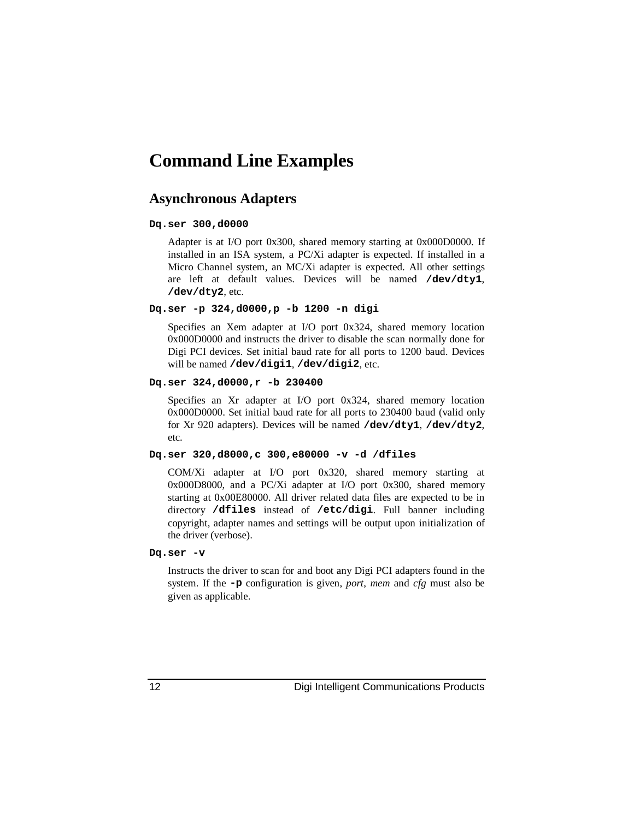# **Command Line Examples**

## **Asynchronous Adapters**

#### **Dq.ser 300,d0000**

Adapter is at I/O port 0x300, shared memory starting at 0x000D0000. If installed in an ISA system, a PC/Xi adapter is expected. If installed in a Micro Channel system, an MC/Xi adapter is expected. All other settings are left at default values. Devices will be named **/dev/dty1**, **/dev/dty2**, etc.

#### **Dq.ser -p 324,d0000,p -b 1200 -n digi**

Specifies an Xem adapter at I/O port 0x324, shared memory location 0x000D0000 and instructs the driver to disable the scan normally done for Digi PCI devices. Set initial baud rate for all ports to 1200 baud. Devices will be named **/dev/digi1**, **/dev/digi2**, etc.

#### **Dq.ser 324,d0000,r -b 230400**

Specifies an Xr adapter at I/O port 0x324, shared memory location 0x000D0000. Set initial baud rate for all ports to 230400 baud (valid only for Xr 920 adapters). Devices will be named **/dev/dty1**, **/dev/dty2**, etc.

### **Dq.ser 320,d8000,c 300,e80000 -v -d /dfiles**

COM/Xi adapter at I/O port 0x320, shared memory starting at 0x000D8000, and a PC/Xi adapter at I/O port 0x300, shared memory starting at 0x00E80000. All driver related data files are expected to be in directory **/dfiles** instead of **/etc/digi**. Full banner including copyright, adapter names and settings will be output upon initialization of the driver (verbose).

## **Dq.ser -v**

Instructs the driver to scan for and boot any Digi PCI adapters found in the system. If the **-p** configuration is given, *port*, *mem* and *cfg* must also be given as applicable.